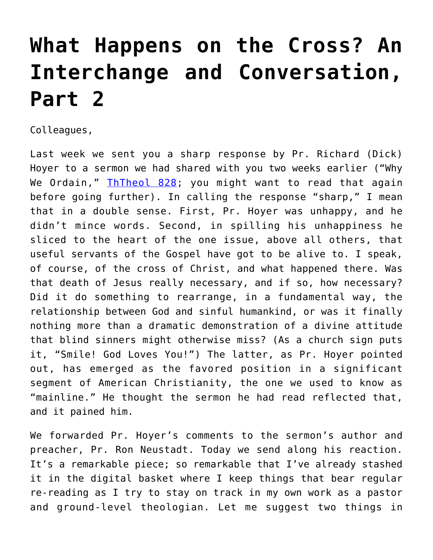## **[What Happens on the Cross? An](https://crossings.org/what-happens-on-the-cross-an-interchange-and-conversation-part-2/) [Interchange and Conversation,](https://crossings.org/what-happens-on-the-cross-an-interchange-and-conversation-part-2/) [Part 2](https://crossings.org/what-happens-on-the-cross-an-interchange-and-conversation-part-2/)**

Colleagues,

Last week we sent you a sharp response by Pr. Richard (Dick) Hoyer to a sermon we had shared with you two weeks earlier ("Why We Ordain," [ThTheol 828](https://crossings.org/thursday/2014/thur081414.shtml); you might want to read that again before going further). In calling the response "sharp," I mean that in a double sense. First, Pr. Hoyer was unhappy, and he didn't mince words. Second, in spilling his unhappiness he sliced to the heart of the one issue, above all others, that useful servants of the Gospel have got to be alive to. I speak, of course, of the cross of Christ, and what happened there. Was that death of Jesus really necessary, and if so, how necessary? Did it do something to rearrange, in a fundamental way, the relationship between God and sinful humankind, or was it finally nothing more than a dramatic demonstration of a divine attitude that blind sinners might otherwise miss? (As a church sign puts it, "Smile! God Loves You!") The latter, as Pr. Hoyer pointed out, has emerged as the favored position in a significant segment of American Christianity, the one we used to know as "mainline." He thought the sermon he had read reflected that, and it pained him.

We forwarded Pr. Hoyer's comments to the sermon's author and preacher, Pr. Ron Neustadt. Today we send along his reaction. It's a remarkable piece; so remarkable that I've already stashed it in the digital basket where I keep things that bear regular re-reading as I try to stay on track in my own work as a pastor and ground-level theologian. Let me suggest two things in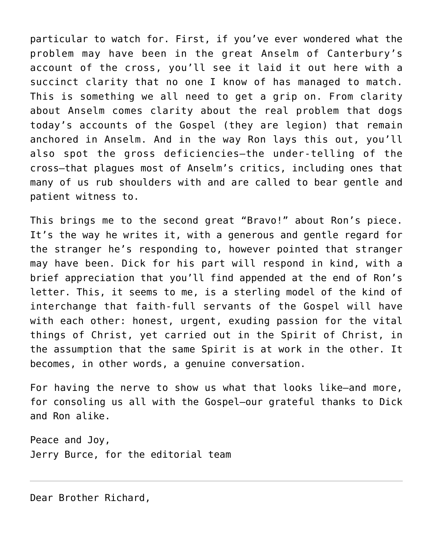particular to watch for. First, if you've ever wondered what the problem may have been in the great Anselm of Canterbury's account of the cross, you'll see it laid it out here with a succinct clarity that no one I know of has managed to match. This is something we all need to get a grip on. From clarity about Anselm comes clarity about the real problem that dogs today's accounts of the Gospel (they are legion) that remain anchored in Anselm. And in the way Ron lays this out, you'll also spot the gross deficiencies—the under-telling of the cross—that plagues most of Anselm's critics, including ones that many of us rub shoulders with and are called to bear gentle and patient witness to.

This brings me to the second great "Bravo!" about Ron's piece. It's the way he writes it, with a generous and gentle regard for the stranger he's responding to, however pointed that stranger may have been. Dick for his part will respond in kind, with a brief appreciation that you'll find appended at the end of Ron's letter. This, it seems to me, is a sterling model of the kind of interchange that faith-full servants of the Gospel will have with each other: honest, urgent, exuding passion for the vital things of Christ, yet carried out in the Spirit of Christ, in the assumption that the same Spirit is at work in the other. It becomes, in other words, a genuine conversation.

For having the nerve to show us what that looks like—and more, for consoling us all with the Gospel—our grateful thanks to Dick and Ron alike.

Peace and Joy, Jerry Burce, for the editorial team

Dear Brother Richard,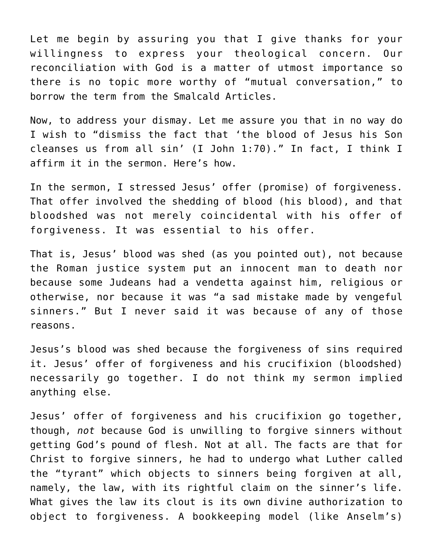Let me begin by assuring you that I give thanks for your willingness to express your theological concern. Our reconciliation with God is a matter of utmost importance so there is no topic more worthy of "mutual conversation," to borrow the term from the Smalcald Articles.

Now, to address your dismay. Let me assure you that in no way do I wish to "dismiss the fact that 'the blood of Jesus his Son cleanses us from all sin' (I John 1:70)." In fact, I think I affirm it in the sermon. Here's how.

In the sermon, I stressed Jesus' offer (promise) of forgiveness. That offer involved the shedding of blood (his blood), and that bloodshed was not merely coincidental with his offer of forgiveness. It was essential to his offer.

That is, Jesus' blood was shed (as you pointed out), not because the Roman justice system put an innocent man to death nor because some Judeans had a vendetta against him, religious or otherwise, nor because it was "a sad mistake made by vengeful sinners." But I never said it was because of any of those reasons.

Jesus's blood was shed because the forgiveness of sins required it. Jesus' offer of forgiveness and his crucifixion (bloodshed) necessarily go together. I do not think my sermon implied anything else.

Jesus' offer of forgiveness and his crucifixion go together, though, *not* because God is unwilling to forgive sinners without getting God's pound of flesh. Not at all. The facts are that for Christ to forgive sinners, he had to undergo what Luther called the "tyrant" which objects to sinners being forgiven at all, namely, the law, with its rightful claim on the sinner's life. What gives the law its clout is its own divine authorization to object to forgiveness. A bookkeeping model (like Anselm's)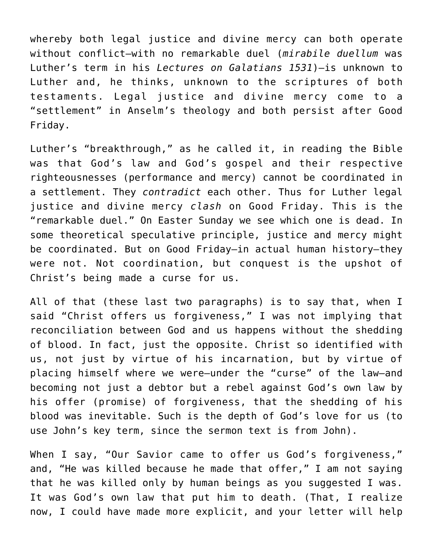whereby both legal justice and divine mercy can both operate without conflict—with no remarkable duel (*mirabile duellum* was Luther's term in his *Lectures on Galatians 1531*)—is unknown to Luther and, he thinks, unknown to the scriptures of both testaments. Legal justice and divine mercy come to a "settlement" in Anselm's theology and both persist after Good Friday.

Luther's "breakthrough," as he called it, in reading the Bible was that God's law and God's gospel and their respective righteousnesses (performance and mercy) cannot be coordinated in a settlement. They *contradict* each other. Thus for Luther legal justice and divine mercy *clash* on Good Friday. This is the "remarkable duel." On Easter Sunday we see which one is dead. In some theoretical speculative principle, justice and mercy might be coordinated. But on Good Friday—in actual human history—they were not. Not coordination, but conquest is the upshot of Christ's being made a curse for us.

All of that (these last two paragraphs) is to say that, when I said "Christ offers us forgiveness," I was not implying that reconciliation between God and us happens without the shedding of blood. In fact, just the opposite. Christ so identified with us, not just by virtue of his incarnation, but by virtue of placing himself where we were—under the "curse" of the law—and becoming not just a debtor but a rebel against God's own law by his offer (promise) of forgiveness, that the shedding of his blood was inevitable. Such is the depth of God's love for us (to use John's key term, since the sermon text is from John).

When I say, "Our Savior came to offer us God's forgiveness," and, "He was killed because he made that offer," I am not saying that he was killed only by human beings as you suggested I was. It was God's own law that put him to death. (That, I realize now, I could have made more explicit, and your letter will help